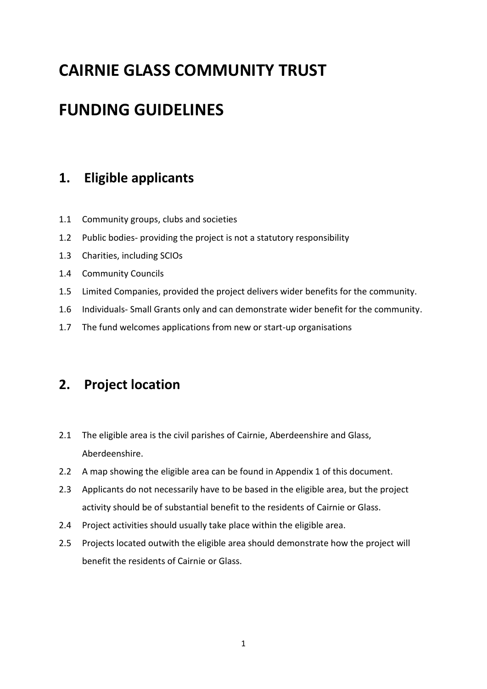# **CAIRNIE GLASS COMMUNITY TRUST**

# **FUNDING GUIDELINES**

# **1. Eligible applicants**

- 1.1 Community groups, clubs and societies
- 1.2 Public bodies- providing the project is not a statutory responsibility
- 1.3 Charities, including SCIOs
- 1.4 Community Councils
- 1.5 Limited Companies, provided the project delivers wider benefits for the community.
- 1.6 Individuals- Small Grants only and can demonstrate wider benefit for the community.
- 1.7 The fund welcomes applications from new or start-up organisations

# **2. Project location**

- 2.1 The eligible area is the civil parishes of Cairnie, Aberdeenshire and Glass, Aberdeenshire.
- 2.2 A map showing the eligible area can be found in Appendix 1 of this document.
- 2.3 Applicants do not necessarily have to be based in the eligible area, but the project activity should be of substantial benefit to the residents of Cairnie or Glass.
- 2.4 Project activities should usually take place within the eligible area.
- 2.5 Projects located outwith the eligible area should demonstrate how the project will benefit the residents of Cairnie or Glass.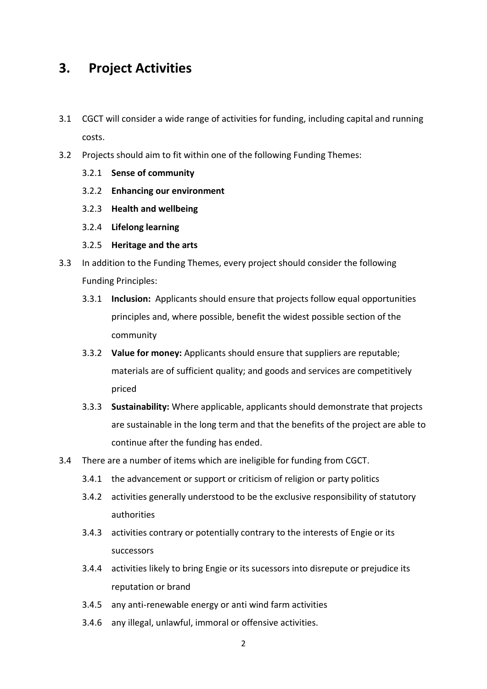#### **3. Project Activities**

- 3.1 CGCT will consider a wide range of activities for funding, including capital and running costs.
- 3.2 Projects should aim to fit within one of the following Funding Themes:
	- 3.2.1 **Sense of community**
	- 3.2.2 **Enhancing our environment**
	- 3.2.3 **Health and wellbeing**
	- 3.2.4 **Lifelong learning**
	- 3.2.5 **Heritage and the arts**
- 3.3 In addition to the Funding Themes, every project should consider the following Funding Principles:
	- 3.3.1 **Inclusion:** Applicants should ensure that projects follow equal opportunities principles and, where possible, benefit the widest possible section of the community
	- 3.3.2 **Value for money:** Applicants should ensure that suppliers are reputable; materials are of sufficient quality; and goods and services are competitively priced
	- 3.3.3 **Sustainability:** Where applicable, applicants should demonstrate that projects are sustainable in the long term and that the benefits of the project are able to continue after the funding has ended.
- 3.4 There are a number of items which are ineligible for funding from CGCT.
	- 3.4.1 the advancement or support or criticism of religion or party politics
	- 3.4.2 activities generally understood to be the exclusive responsibility of statutory authorities
	- 3.4.3 activities contrary or potentially contrary to the interests of Engie or its successors
	- 3.4.4 activities likely to bring Engie or its sucessors into disrepute or prejudice its reputation or brand
	- 3.4.5 any anti-renewable energy or anti wind farm activities
	- 3.4.6 any illegal, unlawful, immoral or offensive activities.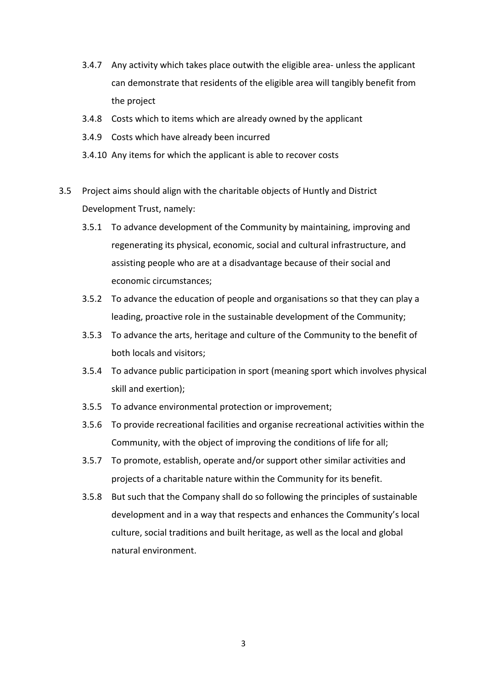- 3.4.7 Any activity which takes place outwith the eligible area- unless the applicant can demonstrate that residents of the eligible area will tangibly benefit from the project
- 3.4.8 Costs which to items which are already owned by the applicant
- 3.4.9 Costs which have already been incurred
- 3.4.10 Any items for which the applicant is able to recover costs
- 3.5 Project aims should align with the charitable objects of Huntly and District Development Trust, namely:
	- 3.5.1 To advance development of the Community by maintaining, improving and regenerating its physical, economic, social and cultural infrastructure, and assisting people who are at a disadvantage because of their social and economic circumstances;
	- 3.5.2 To advance the education of people and organisations so that they can play a leading, proactive role in the sustainable development of the Community;
	- 3.5.3 To advance the arts, heritage and culture of the Community to the benefit of both locals and visitors;
	- 3.5.4 To advance public participation in sport (meaning sport which involves physical skill and exertion);
	- 3.5.5 To advance environmental protection or improvement;
	- 3.5.6 To provide recreational facilities and organise recreational activities within the Community, with the object of improving the conditions of life for all;
	- 3.5.7 To promote, establish, operate and/or support other similar activities and projects of a charitable nature within the Community for its benefit.
	- 3.5.8 But such that the Company shall do so following the principles of sustainable development and in a way that respects and enhances the Community's local culture, social traditions and built heritage, as well as the local and global natural environment.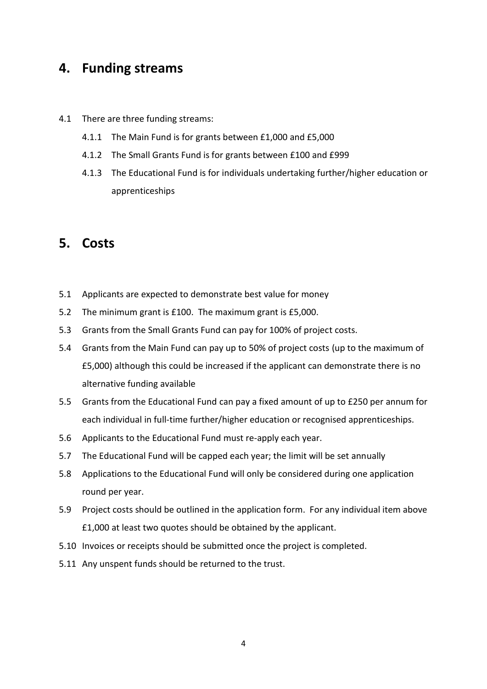#### **4. Funding streams**

- 4.1 There are three funding streams:
	- 4.1.1 The Main Fund is for grants between £1,000 and £5,000
	- 4.1.2 The Small Grants Fund is for grants between £100 and £999
	- 4.1.3 The Educational Fund is for individuals undertaking further/higher education or apprenticeships

#### **5. Costs**

- 5.1 Applicants are expected to demonstrate best value for money
- 5.2 The minimum grant is £100. The maximum grant is £5,000.
- 5.3 Grants from the Small Grants Fund can pay for 100% of project costs.
- 5.4 Grants from the Main Fund can pay up to 50% of project costs (up to the maximum of £5,000) although this could be increased if the applicant can demonstrate there is no alternative funding available
- 5.5 Grants from the Educational Fund can pay a fixed amount of up to £250 per annum for each individual in full-time further/higher education or recognised apprenticeships.
- 5.6 Applicants to the Educational Fund must re-apply each year.
- 5.7 The Educational Fund will be capped each year; the limit will be set annually
- 5.8 Applications to the Educational Fund will only be considered during one application round per year.
- 5.9 Project costs should be outlined in the application form. For any individual item above £1,000 at least two quotes should be obtained by the applicant.
- 5.10 Invoices or receipts should be submitted once the project is completed.
- 5.11 Any unspent funds should be returned to the trust.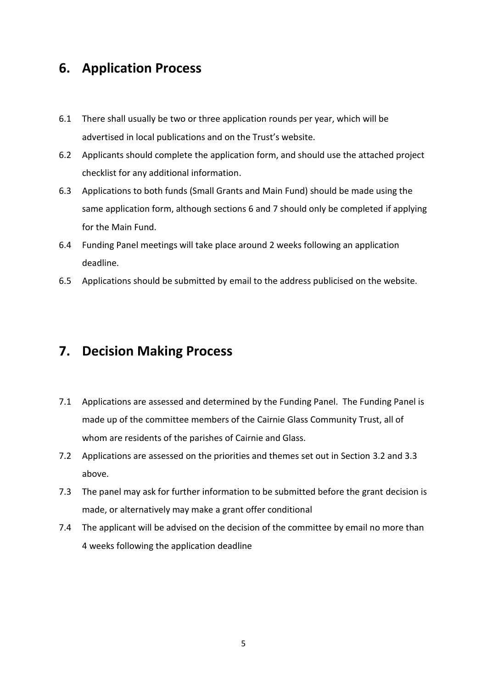#### **6. Application Process**

- 6.1 There shall usually be two or three application rounds per year, which will be advertised in local publications and on the Trust's website.
- 6.2 Applicants should complete the application form, and should use the attached project checklist for any additional information.
- 6.3 Applications to both funds (Small Grants and Main Fund) should be made using the same application form, although sections 6 and 7 should only be completed if applying for the Main Fund.
- 6.4 Funding Panel meetings will take place around 2 weeks following an application deadline.
- 6.5 Applications should be submitted by email to the address publicised on the website.

#### **7. Decision Making Process**

- 7.1 Applications are assessed and determined by the Funding Panel. The Funding Panel is made up of the committee members of the Cairnie Glass Community Trust, all of whom are residents of the parishes of Cairnie and Glass.
- 7.2 Applications are assessed on the priorities and themes set out in Section 3.2 and 3.3 above.
- 7.3 The panel may ask for further information to be submitted before the grant decision is made, or alternatively may make a grant offer conditional
- 7.4 The applicant will be advised on the decision of the committee by email no more than 4 weeks following the application deadline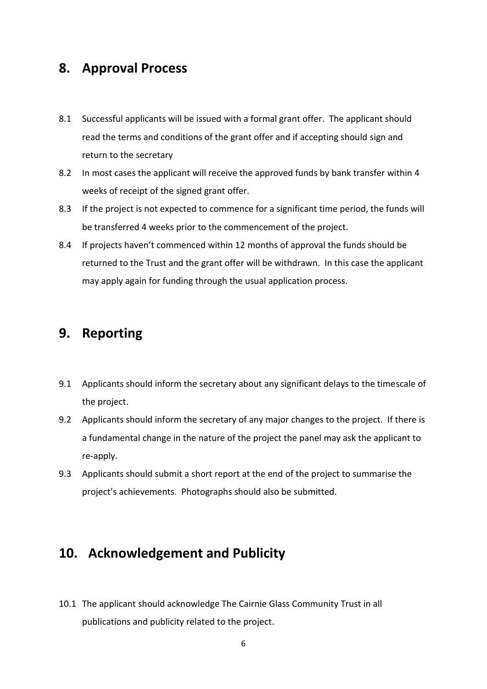#### **8. Approval Process**

- 8.1 Successful applicants will be issued with a formal grant offer. The applicant should read the terms and conditions of the grant offer and if accepting should sign and return to the secretary
- 8.2 In most cases the applicant will receive the approved funds by bank transfer within 4 weeks of receipt of the signed grant offer.
- 8.3 If the project is not expected to commence for a significant time period, the funds will be transferred 4 weeks prior to the commencement of the project.
- 8.4 If projects haven't commenced within 12 months of approval the funds should be returned to the Trust and the grant offer will be withdrawn. In this case the applicant may apply again for funding through the usual application process.

# **9. Reporting**

- 9.1 Applicants should inform the secretary about any significant delays to the timescale of the project.
- 9.2 Applicants should inform the secretary of any major changes to the project. If there is a fundamental change in the nature of the project the panel may ask the applicant to re-apply.
- 9.3 Applicants should submit a short report at the end of the project to summarise the project's achievements. Photographs should also be submitted.

# **10. Acknowledgement and Publicity**

10.1 The applicant should acknowledge The Cairnie Glass Community Trust in all publications and publicity related to the project.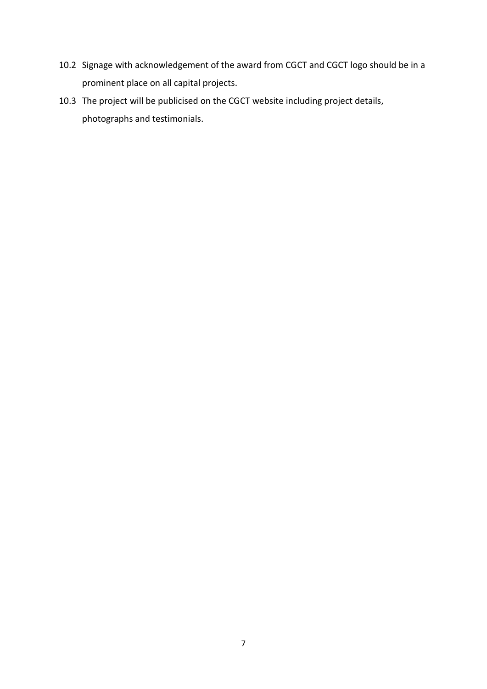- 10.2 Signage with acknowledgement of the award from CGCT and CGCT logo should be in a prominent place on all capital projects.
- 10.3 The project will be publicised on the CGCT website including project details, photographs and testimonials.